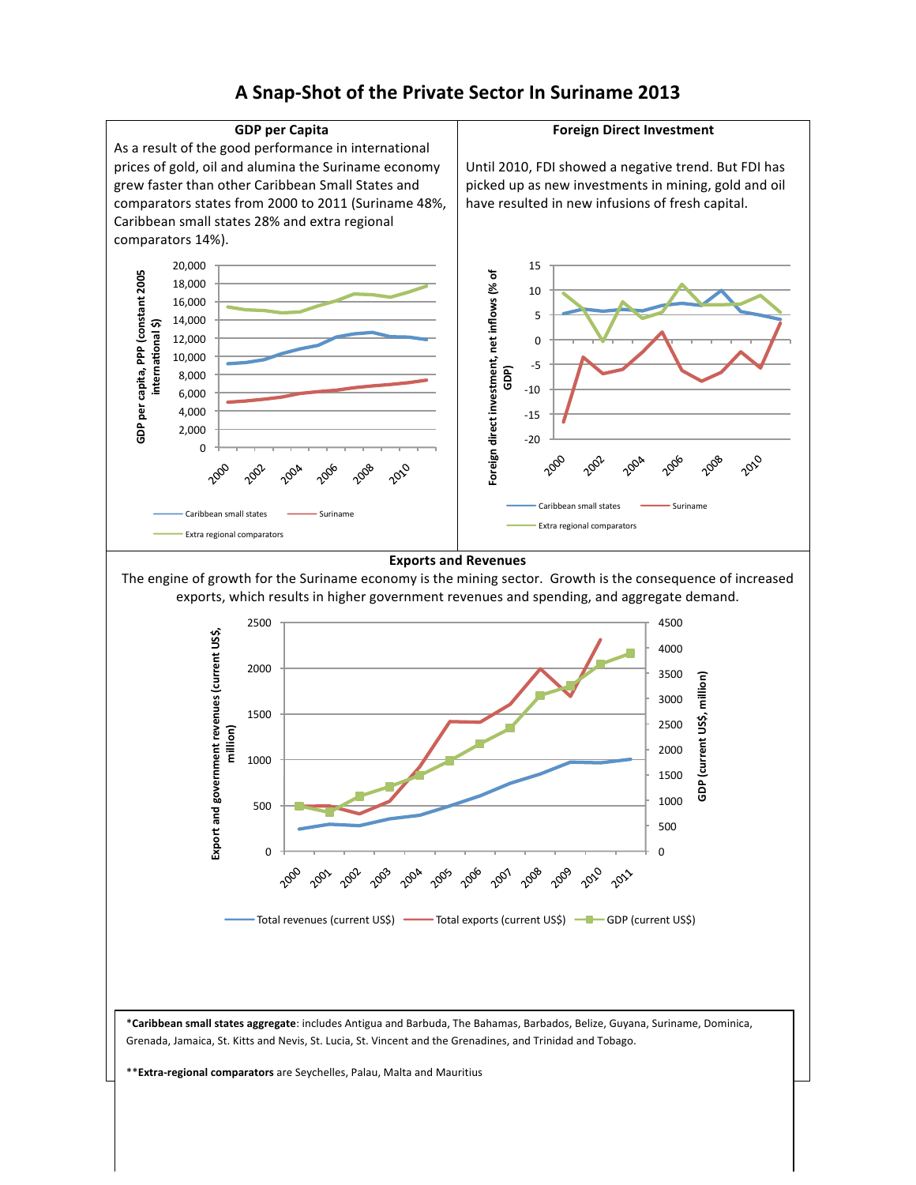

A Snap-Shot of the Private Sector In Suriname 2013

\*\***Extra-regional comparators** are Seychelles, Palau, Malta and Mauritius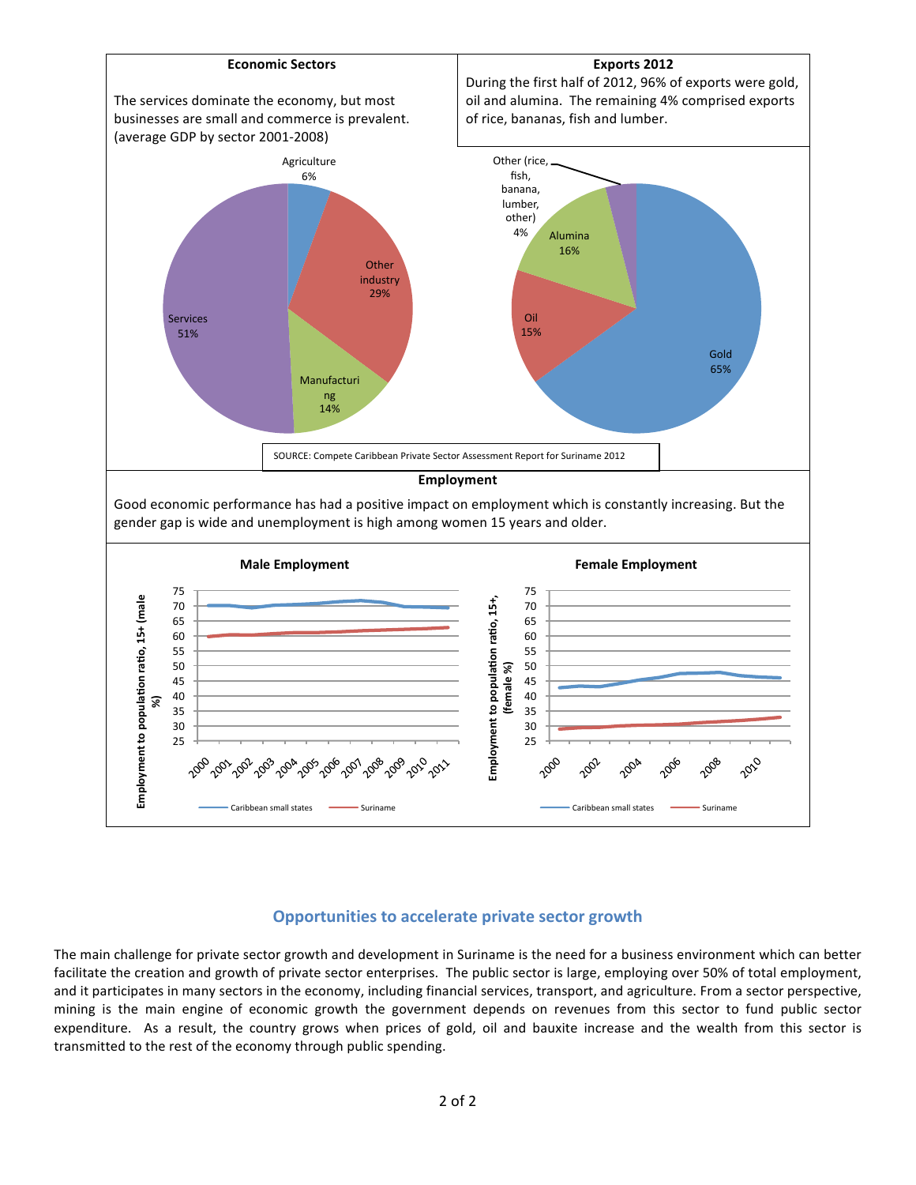

## **Opportunities to accelerate private sector growth**

The main challenge for private sector growth and development in Suriname is the need for a business environment which can better facilitate the creation and growth of private sector enterprises. The public sector is large, employing over 50% of total employment, and it participates in many sectors in the economy, including financial services, transport, and agriculture. From a sector perspective, mining is the main engine of economic growth the government depends on revenues from this sector to fund public sector expenditure. As a result, the country grows when prices of gold, oil and bauxite increase and the wealth from this sector is transmitted to the rest of the economy through public spending.